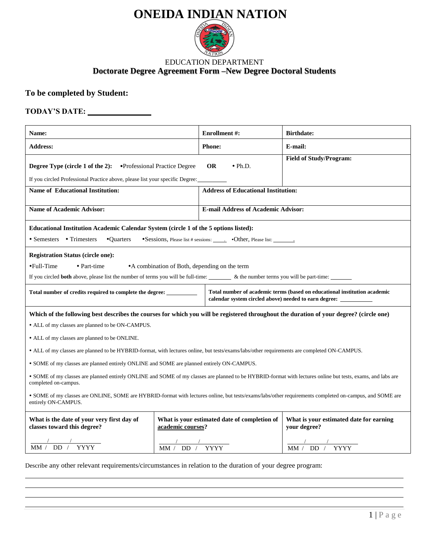# **ONEIDA INDIAN NATION**



### **Doctorate Degree Agreement Form –New Degree Doctoral Students** EDUCATION DEPARTMENT

## **To be completed by Student:**

## **TODAY'S DATE:**

| <b>Name:</b>                                                                                                                                                                                                                                                                                                                                                                                                                                                                                                                                                                                                                                                                                                                                                                                                                                                      |                                                                   | <b>Enrollment #:</b>                                                                                                               | <b>Birthdate:</b>                                       |  |
|-------------------------------------------------------------------------------------------------------------------------------------------------------------------------------------------------------------------------------------------------------------------------------------------------------------------------------------------------------------------------------------------------------------------------------------------------------------------------------------------------------------------------------------------------------------------------------------------------------------------------------------------------------------------------------------------------------------------------------------------------------------------------------------------------------------------------------------------------------------------|-------------------------------------------------------------------|------------------------------------------------------------------------------------------------------------------------------------|---------------------------------------------------------|--|
| <b>Address:</b>                                                                                                                                                                                                                                                                                                                                                                                                                                                                                                                                                                                                                                                                                                                                                                                                                                                   |                                                                   | <b>Phone:</b>                                                                                                                      | E-mail:                                                 |  |
| Degree Type (circle 1 of the 2):<br>If you circled Professional Practice above, please list your specific Degree:                                                                                                                                                                                                                                                                                                                                                                                                                                                                                                                                                                                                                                                                                                                                                 | •Professional Practice Degree                                     | <b>OR</b><br>$\cdot$ Ph.D.                                                                                                         | <b>Field of Study/Program:</b>                          |  |
| <b>Name of Educational Institution:</b>                                                                                                                                                                                                                                                                                                                                                                                                                                                                                                                                                                                                                                                                                                                                                                                                                           |                                                                   | <b>Address of Educational Institution:</b>                                                                                         |                                                         |  |
| <b>Name of Academic Advisor:</b>                                                                                                                                                                                                                                                                                                                                                                                                                                                                                                                                                                                                                                                                                                                                                                                                                                  |                                                                   | <b>E-mail Address of Academic Advisor:</b>                                                                                         |                                                         |  |
| Educational Institution Academic Calendar System (circle 1 of the 5 options listed):<br>• Semesters • Trimesters<br>•Quarters<br>•Sessions, Please list # sessions: <b>•Other</b> , Please list: <u>••</u>                                                                                                                                                                                                                                                                                                                                                                                                                                                                                                                                                                                                                                                        |                                                                   |                                                                                                                                    |                                                         |  |
| <b>Registration Status (circle one):</b><br>•Full-Time<br>• Part-time<br>• A combination of Both, depending on the term<br>If you circled both above, please list the number of terms you will be full-time: ________ & the number terms you will be part-time: _______                                                                                                                                                                                                                                                                                                                                                                                                                                                                                                                                                                                           |                                                                   |                                                                                                                                    |                                                         |  |
| Total number of credits required to complete the degree: ___________                                                                                                                                                                                                                                                                                                                                                                                                                                                                                                                                                                                                                                                                                                                                                                                              |                                                                   | Total number of academic terms (based on educational institution academic<br>calendar system circled above) needed to earn degree: |                                                         |  |
| Which of the following best describes the courses for which you will be registered throughout the duration of your degree? (circle one)<br>• ALL of my classes are planned to be ON-CAMPUS.<br>• ALL of my classes are planned to be ONLINE.<br>• ALL of my classes are planned to be HYBRID-format, with lectures online, but tests/exams/labs/other requirements are completed ON-CAMPUS.<br>• SOME of my classes are planned entirely ONLINE and SOME are planned entirely ON-CAMPUS.<br>• SOME of my classes are planned entirely ONLINE and SOME of my classes are planned to be HYBRID-format with lectures online but tests, exams, and labs are<br>completed on-campus.<br>• SOME of my classes are ONLINE, SOME are HYBRID-format with lectures online, but tests/exams/labs/other requirements completed on-campus, and SOME are<br>entirely ON-CAMPUS. |                                                                   |                                                                                                                                    |                                                         |  |
| What is the date of your very first day of<br>classes toward this degree?                                                                                                                                                                                                                                                                                                                                                                                                                                                                                                                                                                                                                                                                                                                                                                                         | What is your estimated date of completion of<br>academic courses? |                                                                                                                                    | What is your estimated date for earning<br>your degree? |  |
| $\frac{1}{MM}$ / DD / YYYY                                                                                                                                                                                                                                                                                                                                                                                                                                                                                                                                                                                                                                                                                                                                                                                                                                        | MM / DD / YYYY                                                    |                                                                                                                                    | MM / DD / YYYY                                          |  |

Describe any other relevant requirements/circumstances in relation to the duration of your degree program: